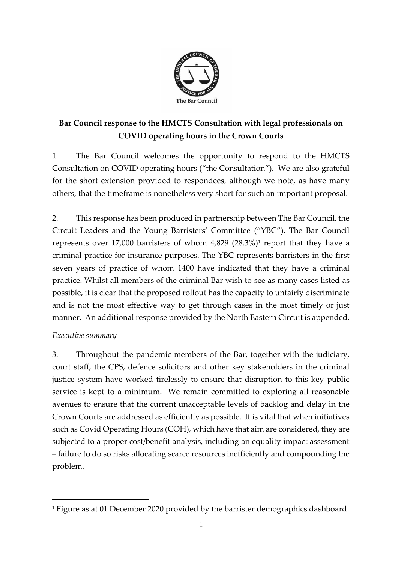

# **Bar Council response to the HMCTS Consultation with legal professionals on COVID operating hours in the Crown Courts**

1. The Bar Council welcomes the opportunity to respond to the HMCTS Consultation on COVID operating hours ("the Consultation"). We are also grateful for the short extension provided to respondees, although we note, as have many others, that the timeframe is nonetheless very short for such an important proposal.

2. This response has been produced in partnership between The Bar Council, the Circuit Leaders and the Young Barristers' Committee ("YBC"). The Bar Council represents over 17,000 barristers of whom  $4,829$  (28.3%)<sup>1</sup> report that they have a criminal practice for insurance purposes. The YBC represents barristers in the first seven years of practice of whom 1400 have indicated that they have a criminal practice. Whilst all members of the criminal Bar wish to see as many cases listed as possible, it is clear that the proposed rollout has the capacity to unfairly discriminate and is not the most effective way to get through cases in the most timely or just manner. An additional response provided by the North Eastern Circuit is appended.

## *Executive summary*

3. Throughout the pandemic members of the Bar, together with the judiciary, court staff, the CPS, defence solicitors and other key stakeholders in the criminal justice system have worked tirelessly to ensure that disruption to this key public service is kept to a minimum. We remain committed to exploring all reasonable avenues to ensure that the current unacceptable levels of backlog and delay in the Crown Courts are addressed as efficiently as possible. It is vital that when initiatives such as Covid Operating Hours (COH), which have that aim are considered, they are subjected to a proper cost/benefit analysis, including an equality impact assessment – failure to do so risks allocating scarce resources inefficiently and compounding the problem.

<sup>&</sup>lt;sup>1</sup> Figure as at 01 December 2020 provided by the barrister demographics dashboard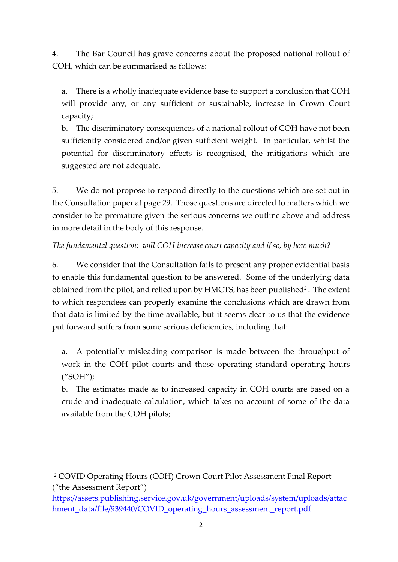4. The Bar Council has grave concerns about the proposed national rollout of COH, which can be summarised as follows:

a. There is a wholly inadequate evidence base to support a conclusion that COH will provide any, or any sufficient or sustainable, increase in Crown Court capacity;

b. The discriminatory consequences of a national rollout of COH have not been sufficiently considered and/or given sufficient weight. In particular, whilst the potential for discriminatory effects is recognised, the mitigations which are suggested are not adequate.

5. We do not propose to respond directly to the questions which are set out in the Consultation paper at page 29. Those questions are directed to matters which we consider to be premature given the serious concerns we outline above and address in more detail in the body of this response.

## *The fundamental question: will COH increase court capacity and if so, by how much?*

6. We consider that the Consultation fails to present any proper evidential basis to enable this fundamental question to be answered. Some of the underlying data obtained from the pilot, and relied upon by HMCTS, has been published<sup>2</sup>. The extent to which respondees can properly examine the conclusions which are drawn from that data is limited by the time available, but it seems clear to us that the evidence put forward suffers from some serious deficiencies, including that:

a. A potentially misleading comparison is made between the throughput of work in the COH pilot courts and those operating standard operating hours ("SOH");

b. The estimates made as to increased capacity in COH courts are based on a crude and inadequate calculation, which takes no account of some of the data available from the COH pilots;

<sup>2</sup> COVID Operating Hours (COH) Crown Court Pilot Assessment Final Report ("the Assessment Report")

[https://assets.publishing.service.gov.uk/government/uploads/system/uploads/attac](https://assets.publishing.service.gov.uk/government/uploads/system/uploads/attachment_data/file/939440/COVID_operating_hours_assessment_report.pdf) [hment\\_data/file/939440/COVID\\_operating\\_hours\\_assessment\\_report.pdf](https://assets.publishing.service.gov.uk/government/uploads/system/uploads/attachment_data/file/939440/COVID_operating_hours_assessment_report.pdf)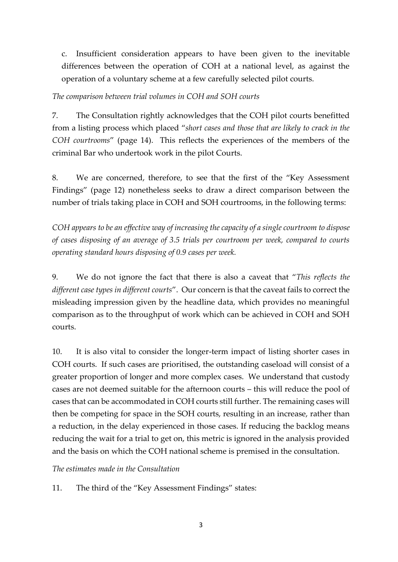c. Insufficient consideration appears to have been given to the inevitable differences between the operation of COH at a national level, as against the operation of a voluntary scheme at a few carefully selected pilot courts.

#### *The comparison between trial volumes in COH and SOH courts*

7. The Consultation rightly acknowledges that the COH pilot courts benefitted from a listing process which placed "*short cases and those that are likely to crack in the COH courtrooms*" (page 14). This reflects the experiences of the members of the criminal Bar who undertook work in the pilot Courts.

8. We are concerned, therefore, to see that the first of the "Key Assessment Findings" (page 12) nonetheless seeks to draw a direct comparison between the number of trials taking place in COH and SOH courtrooms, in the following terms:

*COH appears to be an effective way of increasing the capacity of a single courtroom to dispose of cases disposing of an average of 3.5 trials per courtroom per week, compared to courts operating standard hours disposing of 0.9 cases per week.*

9. We do not ignore the fact that there is also a caveat that "*This reflects the different case types in different courts*". Our concern is that the caveat fails to correct the misleading impression given by the headline data, which provides no meaningful comparison as to the throughput of work which can be achieved in COH and SOH courts.

10. It is also vital to consider the longer-term impact of listing shorter cases in COH courts. If such cases are prioritised, the outstanding caseload will consist of a greater proportion of longer and more complex cases. We understand that custody cases are not deemed suitable for the afternoon courts – this will reduce the pool of cases that can be accommodated in COH courts still further. The remaining cases will then be competing for space in the SOH courts, resulting in an increase, rather than a reduction, in the delay experienced in those cases. If reducing the backlog means reducing the wait for a trial to get on, this metric is ignored in the analysis provided and the basis on which the COH national scheme is premised in the consultation.

*The estimates made in the Consultation*

11. The third of the "Key Assessment Findings" states: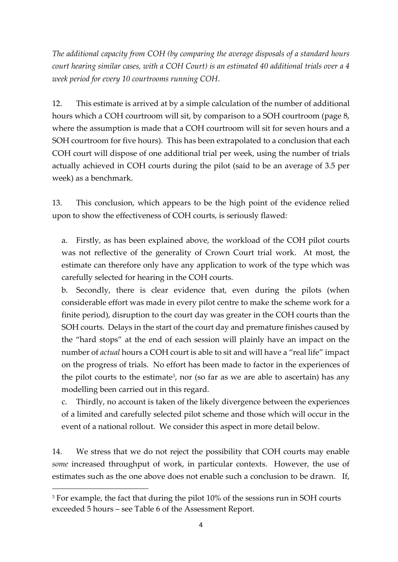*The additional capacity from COH (by comparing the average disposals of a standard hours court hearing similar cases, with a COH Court) is an estimated 40 additional trials over a 4 week period for every 10 courtrooms running COH*.

12. This estimate is arrived at by a simple calculation of the number of additional hours which a COH courtroom will sit, by comparison to a SOH courtroom (page 8, where the assumption is made that a COH courtroom will sit for seven hours and a SOH courtroom for five hours). This has been extrapolated to a conclusion that each COH court will dispose of one additional trial per week, using the number of trials actually achieved in COH courts during the pilot (said to be an average of 3.5 per week) as a benchmark.

13. This conclusion, which appears to be the high point of the evidence relied upon to show the effectiveness of COH courts, is seriously flawed:

a. Firstly, as has been explained above, the workload of the COH pilot courts was not reflective of the generality of Crown Court trial work. At most, the estimate can therefore only have any application to work of the type which was carefully selected for hearing in the COH courts.

b. Secondly, there is clear evidence that, even during the pilots (when considerable effort was made in every pilot centre to make the scheme work for a finite period), disruption to the court day was greater in the COH courts than the SOH courts. Delays in the start of the court day and premature finishes caused by the "hard stops" at the end of each session will plainly have an impact on the number of *actual* hours a COH court is able to sit and will have a "real life" impact on the progress of trials. No effort has been made to factor in the experiences of the pilot courts to the estimate<sup>3</sup>, nor (so far as we are able to ascertain) has any modelling been carried out in this regard.

c. Thirdly, no account is taken of the likely divergence between the experiences of a limited and carefully selected pilot scheme and those which will occur in the event of a national rollout. We consider this aspect in more detail below.

14. We stress that we do not reject the possibility that COH courts may enable *some* increased throughput of work, in particular contexts. However, the use of estimates such as the one above does not enable such a conclusion to be drawn. If,

<sup>&</sup>lt;sup>3</sup> For example, the fact that during the pilot 10% of the sessions run in SOH courts exceeded 5 hours – see Table 6 of the Assessment Report.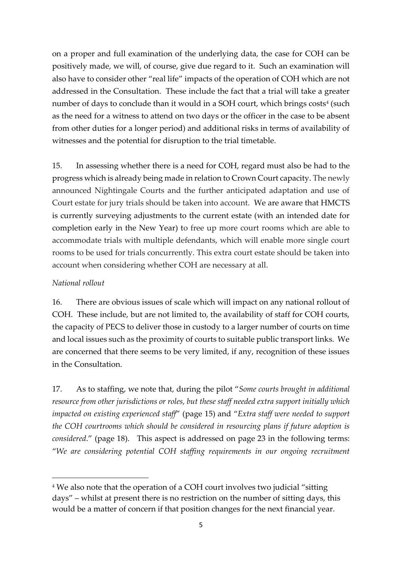on a proper and full examination of the underlying data, the case for COH can be positively made, we will, of course, give due regard to it. Such an examination will also have to consider other "real life" impacts of the operation of COH which are not addressed in the Consultation. These include the fact that a trial will take a greater number of days to conclude than it would in a SOH court, which brings  $\mathrm{costs}^4$  (such as the need for a witness to attend on two days or the officer in the case to be absent from other duties for a longer period) and additional risks in terms of availability of witnesses and the potential for disruption to the trial timetable.

15. In assessing whether there is a need for COH, regard must also be had to the progress which is already being made in relation to Crown Court capacity. The newly announced Nightingale Courts and the further anticipated adaptation and use of Court estate for jury trials should be taken into account. We are aware that HMCTS is currently surveying adjustments to the current estate (with an intended date for completion early in the New Year) to free up more court rooms which are able to accommodate trials with multiple defendants, which will enable more single court rooms to be used for trials concurrently. This extra court estate should be taken into account when considering whether COH are necessary at all.

### *National rollout*

16. There are obvious issues of scale which will impact on any national rollout of COH. These include, but are not limited to, the availability of staff for COH courts, the capacity of PECS to deliver those in custody to a larger number of courts on time and local issues such as the proximity of courts to suitable public transport links. We are concerned that there seems to be very limited, if any, recognition of these issues in the Consultation.

17. As to staffing, we note that, during the pilot "*Some courts brought in additional resource from other jurisdictions or roles, but these staff needed extra support initially which impacted on existing experienced staff*" (page 15) and "*Extra staff were needed to support the COH courtrooms which should be considered in resourcing plans if future adoption is considered*." (page 18). This aspect is addressed on page 23 in the following terms: "*We are considering potential COH staffing requirements in our ongoing recruitment* 

<sup>&</sup>lt;sup>4</sup> We also note that the operation of a COH court involves two judicial "sitting days" – whilst at present there is no restriction on the number of sitting days, this would be a matter of concern if that position changes for the next financial year.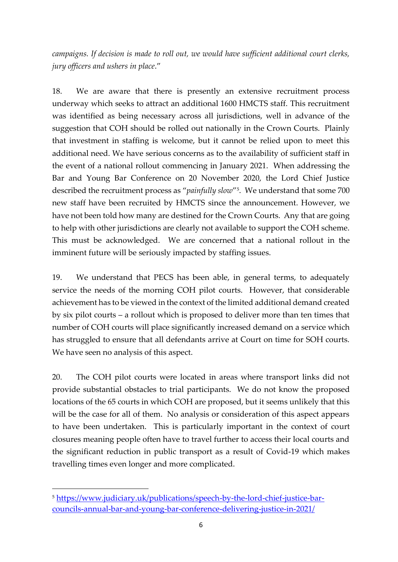*campaigns. If decision is made to roll out, we would have sufficient additional court clerks, jury officers and ushers in place*."

18. We are aware that there is presently an extensive recruitment process underway which seeks to attract an additional 1600 HMCTS staff. This recruitment was identified as being necessary across all jurisdictions, well in advance of the suggestion that COH should be rolled out nationally in the Crown Courts. Plainly that investment in staffing is welcome, but it cannot be relied upon to meet this additional need. We have serious concerns as to the availability of sufficient staff in the event of a national rollout commencing in January 2021. When addressing the Bar and Young Bar Conference on 20 November 2020, the Lord Chief Justice described the recruitment process as "*painfully slow*" 5 . We understand that some 700 new staff have been recruited by HMCTS since the announcement. However, we have not been told how many are destined for the Crown Courts. Any that are going to help with other jurisdictions are clearly not available to support the COH scheme. This must be acknowledged. We are concerned that a national rollout in the imminent future will be seriously impacted by staffing issues.

19. We understand that PECS has been able, in general terms, to adequately service the needs of the morning COH pilot courts. However, that considerable achievement has to be viewed in the context of the limited additional demand created by six pilot courts – a rollout which is proposed to deliver more than ten times that number of COH courts will place significantly increased demand on a service which has struggled to ensure that all defendants arrive at Court on time for SOH courts. We have seen no analysis of this aspect.

20. The COH pilot courts were located in areas where transport links did not provide substantial obstacles to trial participants. We do not know the proposed locations of the 65 courts in which COH are proposed, but it seems unlikely that this will be the case for all of them. No analysis or consideration of this aspect appears to have been undertaken. This is particularly important in the context of court closures meaning people often have to travel further to access their local courts and the significant reduction in public transport as a result of Covid-19 which makes travelling times even longer and more complicated.

<sup>5</sup> [https://www.judiciary.uk/publications/speech-by-the-lord-chief-justice-bar](https://www.judiciary.uk/publications/speech-by-the-lord-chief-justice-bar-councils-annual-bar-and-young-bar-conference-delivering-justice-in-2021/)[councils-annual-bar-and-young-bar-conference-delivering-justice-in-2021/](https://www.judiciary.uk/publications/speech-by-the-lord-chief-justice-bar-councils-annual-bar-and-young-bar-conference-delivering-justice-in-2021/)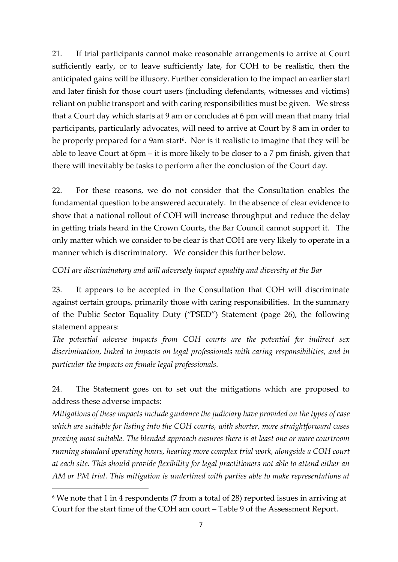21. If trial participants cannot make reasonable arrangements to arrive at Court sufficiently early, or to leave sufficiently late, for COH to be realistic, then the anticipated gains will be illusory. Further consideration to the impact an earlier start and later finish for those court users (including defendants, witnesses and victims) reliant on public transport and with caring responsibilities must be given. We stress that a Court day which starts at 9 am or concludes at 6 pm will mean that many trial participants, particularly advocates, will need to arrive at Court by 8 am in order to be properly prepared for a 9am start<sup>6</sup>. Nor is it realistic to imagine that they will be able to leave Court at 6pm – it is more likely to be closer to a 7 pm finish, given that there will inevitably be tasks to perform after the conclusion of the Court day.

22. For these reasons, we do not consider that the Consultation enables the fundamental question to be answered accurately. In the absence of clear evidence to show that a national rollout of COH will increase throughput and reduce the delay in getting trials heard in the Crown Courts, the Bar Council cannot support it. The only matter which we consider to be clear is that COH are very likely to operate in a manner which is discriminatory. We consider this further below.

*COH are discriminatory and will adversely impact equality and diversity at the Bar*

23. It appears to be accepted in the Consultation that COH will discriminate against certain groups, primarily those with caring responsibilities. In the summary of the Public Sector Equality Duty ("PSED") Statement (page 26), the following statement appears:

*The potential adverse impacts from COH courts are the potential for indirect sex discrimination, linked to impacts on legal professionals with caring responsibilities, and in particular the impacts on female legal professionals.*

24. The Statement goes on to set out the mitigations which are proposed to address these adverse impacts:

*Mitigations of these impacts include guidance the judiciary have provided on the types of case which are suitable for listing into the COH courts, with shorter, more straightforward cases proving most suitable. The blended approach ensures there is at least one or more courtroom running standard operating hours, hearing more complex trial work, alongside a COH court at each site. This should provide flexibility for legal practitioners not able to attend either an AM or PM trial. This mitigation is underlined with parties able to make representations at* 

<sup>6</sup> We note that 1 in 4 respondents (7 from a total of 28) reported issues in arriving at Court for the start time of the COH am court – Table 9 of the Assessment Report.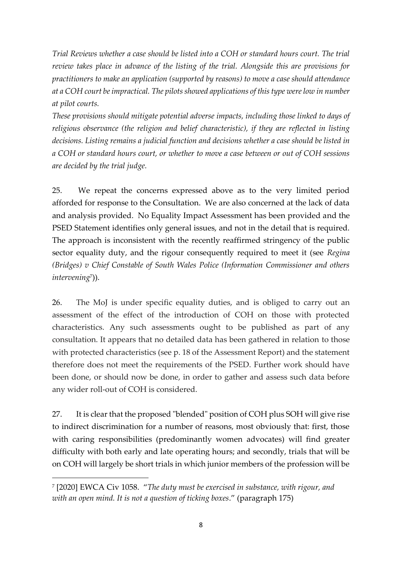*Trial Reviews whether a case should be listed into a COH or standard hours court. The trial review takes place in advance of the listing of the trial. Alongside this are provisions for practitioners to make an application (supported by reasons) to move a case should attendance at a COH court be impractical. The pilots showed applications of this type were low in number at pilot courts.*

*These provisions should mitigate potential adverse impacts, including those linked to days of religious observance (the religion and belief characteristic), if they are reflected in listing decisions. Listing remains a judicial function and decisions whether a case should be listed in a COH or standard hours court, or whether to move a case between or out of COH sessions are decided by the trial judge.*

25. We repeat the concerns expressed above as to the very limited period afforded for response to the Consultation. We are also concerned at the lack of data and analysis provided. No Equality Impact Assessment has been provided and the PSED Statement identifies only general issues, and not in the detail that is required. The approach is inconsistent with the recently reaffirmed stringency of the public sector equality duty, and the rigour consequently required to meet it (see *Regina (Bridges) v Chief Constable of South Wales Police (Information Commissioner and others intervening*<sup>7</sup> )).

26. The MoJ is under specific equality duties, and is obliged to carry out an assessment of the effect of the introduction of COH on those with protected characteristics. Any such assessments ought to be published as part of any consultation. It appears that no detailed data has been gathered in relation to those with protected characteristics (see p. 18 of the Assessment Report) and the statement therefore does not meet the requirements of the PSED. Further work should have been done, or should now be done, in order to gather and assess such data before any wider roll-out of COH is considered.

27. It is clear that the proposed "blended" position of COH plus SOH will give rise to indirect discrimination for a number of reasons, most obviously that: first, those with caring responsibilities (predominantly women advocates) will find greater difficulty with both early and late operating hours; and secondly, trials that will be on COH will largely be short trials in which junior members of the profession will be

<sup>7</sup> [2020] EWCA Civ 1058. "*The duty must be exercised in substance, with rigour, and with an open mind. It is not a question of ticking boxes*." (paragraph 175)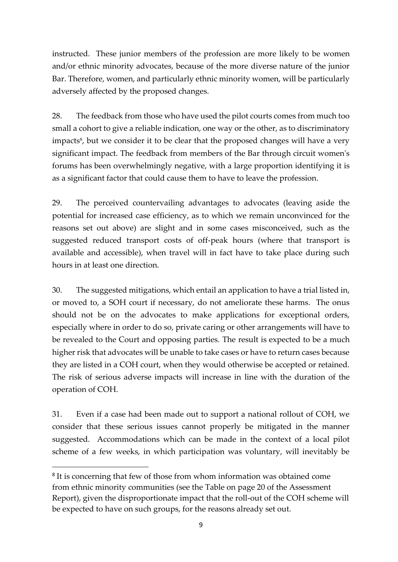instructed. These junior members of the profession are more likely to be women and/or ethnic minority advocates, because of the more diverse nature of the junior Bar. Therefore, women, and particularly ethnic minority women, will be particularly adversely affected by the proposed changes.

28. The feedback from those who have used the pilot courts comes from much too small a cohort to give a reliable indication, one way or the other, as to discriminatory impacts<sup>8</sup>, but we consider it to be clear that the proposed changes will have a very significant impact. The feedback from members of the Bar through circuit women's forums has been overwhelmingly negative, with a large proportion identifying it is as a significant factor that could cause them to have to leave the profession.

29. The perceived countervailing advantages to advocates (leaving aside the potential for increased case efficiency, as to which we remain unconvinced for the reasons set out above) are slight and in some cases misconceived, such as the suggested reduced transport costs of off-peak hours (where that transport is available and accessible), when travel will in fact have to take place during such hours in at least one direction.

30. The suggested mitigations, which entail an application to have a trial listed in, or moved to, a SOH court if necessary, do not ameliorate these harms. The onus should not be on the advocates to make applications for exceptional orders, especially where in order to do so, private caring or other arrangements will have to be revealed to the Court and opposing parties. The result is expected to be a much higher risk that advocates will be unable to take cases or have to return cases because they are listed in a COH court, when they would otherwise be accepted or retained. The risk of serious adverse impacts will increase in line with the duration of the operation of COH.

31. Even if a case had been made out to support a national rollout of COH, we consider that these serious issues cannot properly be mitigated in the manner suggested. Accommodations which can be made in the context of a local pilot scheme of a few weeks, in which participation was voluntary, will inevitably be

<sup>&</sup>lt;sup>8</sup> It is concerning that few of those from whom information was obtained come from ethnic minority communities (see the Table on page 20 of the Assessment Report), given the disproportionate impact that the roll-out of the COH scheme will be expected to have on such groups, for the reasons already set out.